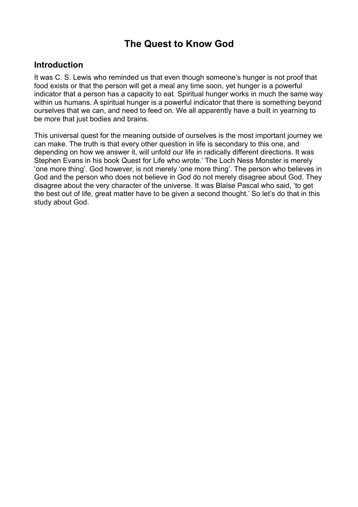# **The Quest to Know God**

## **Introduction**

It was C. S. Lewis who reminded us that even though someone's hunger is not proof that food exists or that the person will get a meal any time soon, yet hunger is a powerful indicator that a person has a capacity to eat. Spiritual hunger works in much the same way within us humans. A spiritual hunger is a powerful indicator that there is something beyond ourselves that we can, and need to feed on. We all apparently have a built in yearning to be more that just bodies and brains.

This universal quest for the meaning outside of ourselves is the most important journey we can make. The truth is that every other question in life is secondary to this one, and depending on how we answer it, will unfold our life in radically different directions. It was Stephen Evans in his book Quest for Life who wrote.' The Loch Ness Monster is merely 'one more thing'. God however, is not merely 'one more thing'. The person who believes in God and the person who does not believe in God do not merely disagree about God. They disagree about the very character of the universe. It was Blaise Pascal who said, 'to get the best out of life, great matter have to be given a second thought.' So let's do that in this study about God.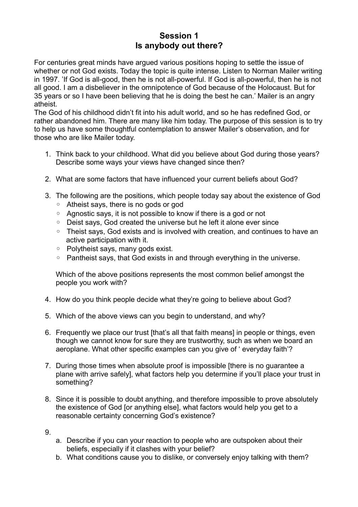## **Session 1 Is anybody out there?**

For centuries great minds have argued various positions hoping to settle the issue of whether or not God exists. Today the topic is quite intense. Listen to Norman Mailer writing in 1997. 'If God is all-good, then he is not all-powerful. If God is all-powerful, then he is not all good. I am a disbeliever in the omnipotence of God because of the Holocaust. But for 35 years or so I have been believing that he is doing the best he can.' Mailer is an angry atheist.

The God of his childhood didn't fit into his adult world, and so he has redefined God, or rather abandoned him. There are many like him today. The purpose of this session is to try to help us have some thoughtful contemplation to answer Mailer's observation, and for those who are like Mailer today.

- 1. Think back to your childhood. What did you believe about God during those years? Describe some ways your views have changed since then?
- 2. What are some factors that have influenced your current beliefs about God?
- 3. The following are the positions, which people today say about the existence of God
	- Atheist says, there is no gods or god
	- Agnostic says, it is not possible to know if there is a god or not
	- Deist says, God created the universe but he left it alone ever since
	- Theist says, God exists and is involved with creation, and continues to have an active participation with it.
	- Polytheist says, many gods exist.
	- Pantheist says, that God exists in and through everything in the universe.

Which of the above positions represents the most common belief amongst the people you work with?

- 4. How do you think people decide what they're going to believe about God?
- 5. Which of the above views can you begin to understand, and why?
- 6. Frequently we place our trust [that's all that faith means] in people or things, even though we cannot know for sure they are trustworthy, such as when we board an aeroplane. What other specific examples can you give of ' everyday faith'?
- 7. During those times when absolute proof is impossible [there is no guarantee a plane with arrive safely], what factors help you determine if you'll place your trust in something?
- 8. Since it is possible to doubt anything, and therefore impossible to prove absolutely the existence of God for anything else], what factors would help you get to a reasonable certainty concerning God's existence?
- 9.
- a. Describe if you can your reaction to people who are outspoken about their beliefs, especially if it clashes with your belief?
- b. What conditions cause you to dislike, or conversely enjoy talking with them?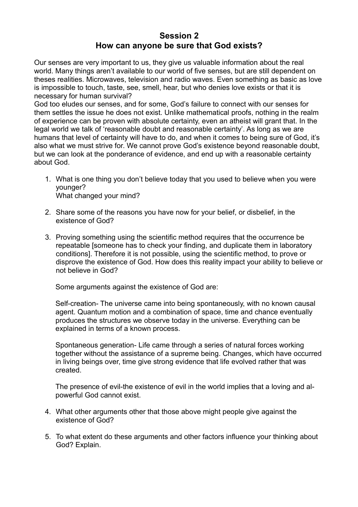#### **Session 2 How can anyone be sure that God exists?**

Our senses are very important to us, they give us valuable information about the real world. Many things aren't available to our world of five senses, but are still dependent on theses realities. Microwaves, television and radio waves. Even something as basic as love is impossible to touch, taste, see, smell, hear, but who denies love exists or that it is necessary for human survival?

God too eludes our senses, and for some, God's failure to connect with our senses for them settles the issue he does not exist. Unlike mathematical proofs, nothing in the realm of experience can be proven with absolute certainty, even an atheist will grant that. In the legal world we talk of 'reasonable doubt and reasonable certainty'. As long as we are humans that level of certainty will have to do, and when it comes to being sure of God, it's also what we must strive for. We cannot prove God's existence beyond reasonable doubt, but we can look at the ponderance of evidence, and end up with a reasonable certainty about God.

- 1. What is one thing you don't believe today that you used to believe when you were younger? What changed your mind?
- 2. Share some of the reasons you have now for your belief, or disbelief, in the existence of God?
- 3. Proving something using the scientific method requires that the occurrence be repeatable [someone has to check your finding, and duplicate them in laboratory conditions]. Therefore it is not possible, using the scientific method, to prove or disprove the existence of God. How does this reality impact your ability to believe or not believe in God?

Some arguments against the existence of God are:

Self-creation- The universe came into being spontaneously, with no known causal agent. Quantum motion and a combination of space, time and chance eventually produces the structures we observe today in the universe. Everything can be explained in terms of a known process.

Spontaneous generation- Life came through a series of natural forces working together without the assistance of a supreme being. Changes, which have occurred in living beings over, time give strong evidence that life evolved rather that was created.

The presence of evil-the existence of evil in the world implies that a loving and alpowerful God cannot exist.

- 4. What other arguments other that those above might people give against the existence of God?
- 5. To what extent do these arguments and other factors influence your thinking about God? Explain.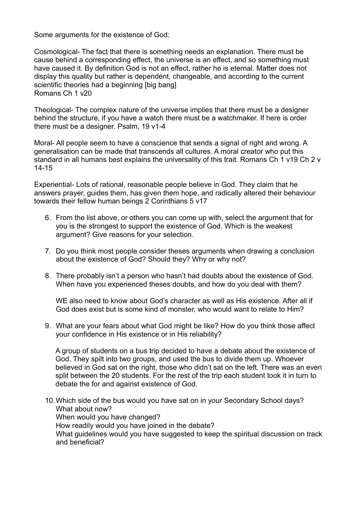Some arguments for the existence of God:

Cosmological- The fact that there is something needs an explanation. There must be cause behind a corresponding effect, the universe is an effect, and so something must have caused it. By definition God is not an effect, rather he is eternal. Matter does not display this quality but rather is dependent, changeable, and according to the current scientific theories had a beginning [big bang] Romans Ch 1 v20

Theological- The complex nature of the universe implies that there must be a designer behind the structure, if you have a watch there must be a watchmaker. If here is order there must be a designer. Psalm, 19 v1-4

Moral- All people seem to have a conscience that sends a signal of right and wrong. A generalisation can be made that transcends all cultures. A moral creator who put this standard in all humans best explains the universality of this trait. Romans Ch 1 v19 Ch 2 v 14-15

Experiential- Lots of rational, reasonable people believe in God. They claim that he answers prayer, guides them, has given them hope, and radically altered their behaviour towards their fellow human beings 2 Corinthians 5 v17

- 6. From the list above, or others you can come up with, select the argument that for you is the strongest to support the existence of God. Which is the weakest argument? Give reasons for your selection.
- 7. Do you think most people consider theses arguments when drawing a conclusion about the existence of God? Should they? Why or why not?
- 8. There probably isn't a person who hasn't had doubts about the existence of God. When have you experienced theses doubts, and how do you deal with them?

WE also need to know about God's character as well as His existence. After all if God does exist but is some kind of monster, who would want to relate to Him?

9. What are your fears about what God might be like? How do you think those affect your confidence in His existence or in His reliability?

A group of students on a bus trip decided to have a debate about the existence of God. They spilt into two groups, and used the bus to divide them up. Whoever believed in God sat on the right, those who didn't sat on the left. There was an even split between the 20 students. For the rest of the trip each student took it in turn to debate the for and against existence of God.

10.Which side of the bus would you have sat on in your Secondary School days? What about now? When would you have changed? How readily would you have joined in the debate? What guidelines would you have suggested to keep the spiritual discussion on track and beneficial?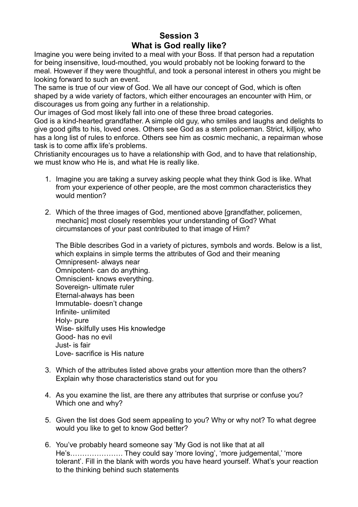# **Session 3 What is God really like?**

Imagine you were being invited to a meal with your Boss. If that person had a reputation for being insensitive, loud-mouthed, you would probably not be looking forward to the meal. However if they were thoughtful, and took a personal interest in others you might be looking forward to such an event.

The same is true of our view of God. We all have our concept of God, which is often shaped by a wide variety of factors, which either encourages an encounter with Him, or discourages us from going any further in a relationship.

Our images of God most likely fall into one of these three broad categories.

God is a kind-hearted grandfather. A simple old guy, who smiles and laughs and delights to give good gifts to his, loved ones. Others see God as a stern policeman. Strict, killjoy, who has a long list of rules to enforce. Others see him as cosmic mechanic, a repairman whose task is to come affix life's problems.

Christianity encourages us to have a relationship with God, and to have that relationship, we must know who He is, and what He is really like.

- 1. Imagine you are taking a survey asking people what they think God is like. What from your experience of other people, are the most common characteristics they would mention?
- 2. Which of the three images of God, mentioned above [grandfather, policemen, mechanic] most closely resembles your understanding of God? What circumstances of your past contributed to that image of Him?

The Bible describes God in a variety of pictures, symbols and words. Below is a list, which explains in simple terms the attributes of God and their meaning Omnipresent- always near Omnipotent- can do anything. Omniscient- knows everything. Sovereign- ultimate ruler Eternal-always has been Immutable- doesn't change Infinite- unlimited Holy- pure Wise- skilfully uses His knowledge Good- has no evil Just- is fair Love- sacrifice is His nature

- 3. Which of the attributes listed above grabs your attention more than the others? Explain why those characteristics stand out for you
- 4. As you examine the list, are there any attributes that surprise or confuse you? Which one and why?
- 5. Given the list does God seem appealing to you? Why or why not? To what degree would you like to get to know God better?
- 6. You've probably heard someone say 'My God is not like that at all He's…………………. They could say 'more loving', 'more judgemental,' 'more tolerant'. Fill in the blank with words you have heard yourself. What's your reaction to the thinking behind such statements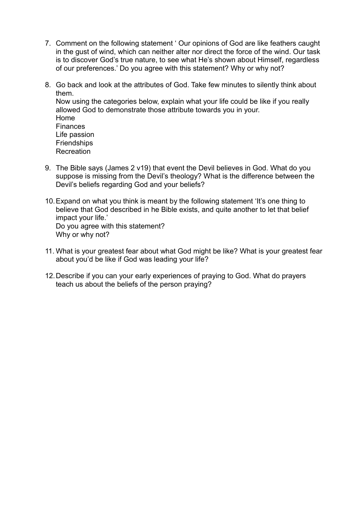- 7. Comment on the following statement ' Our opinions of God are like feathers caught in the gust of wind, which can neither alter nor direct the force of the wind. Our task is to discover God's true nature, to see what He's shown about Himself, regardless of our preferences.' Do you agree with this statement? Why or why not?
- 8. Go back and look at the attributes of God. Take few minutes to silently think about them. Now using the categories below, explain what your life could be like if you really allowed God to demonstrate those attribute towards you in your. Home **Finances** Life passion **Friendships** Recreation
- 9. The Bible says (James 2 v19) that event the Devil believes in God. What do you suppose is missing from the Devil's theology? What is the difference between the Devil's beliefs regarding God and your beliefs?
- 10.Expand on what you think is meant by the following statement 'It's one thing to believe that God described in he Bible exists, and quite another to let that belief impact your life.' Do you agree with this statement? Why or why not?
- 11. What is your greatest fear about what God might be like? What is your greatest fear about you'd be like if God was leading your life?
- 12.Describe if you can your early experiences of praying to God. What do prayers teach us about the beliefs of the person praying?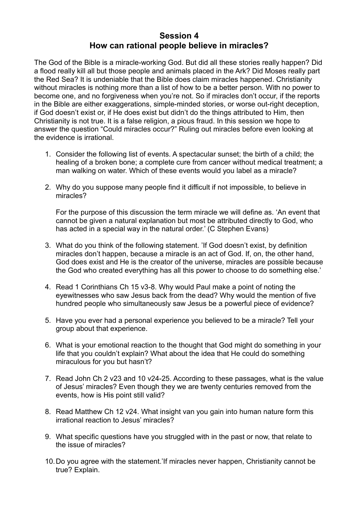#### **Session 4 How can rational people believe in miracles?**

The God of the Bible is a miracle-working God. But did all these stories really happen? Did a flood really kill all but those people and animals placed in the Ark? Did Moses really part the Red Sea? It is undeniable that the Bible does claim miracles happened. Christianity without miracles is nothing more than a list of how to be a better person. With no power to become one, and no forgiveness when you're not. So if miracles don't occur, if the reports in the Bible are either exaggerations, simple-minded stories, or worse out-right deception, if God doesn't exist or, if He does exist but didn't do the things attributed to Him, then Christianity is not true. It is a false religion, a pious fraud. In this session we hope to answer the question "Could miracles occur?" Ruling out miracles before even looking at the evidence is irrational.

- 1. Consider the following list of events. A spectacular sunset; the birth of a child; the healing of a broken bone; a complete cure from cancer without medical treatment; a man walking on water. Which of these events would you label as a miracle?
- 2. Why do you suppose many people find it difficult if not impossible, to believe in miracles?

For the purpose of this discussion the term miracle we will define as. 'An event that cannot be given a natural explanation but most be attributed directly to God, who has acted in a special way in the natural order.' (C Stephen Evans)

- 3. What do you think of the following statement. 'If God doesn't exist, by definition miracles don't happen, because a miracle is an act of God. If, on, the other hand, God does exist and He is the creator of the universe, miracles are possible because the God who created everything has all this power to choose to do something else.'
- 4. Read 1 Corinthians Ch 15 v3-8. Why would Paul make a point of noting the eyewitnesses who saw Jesus back from the dead? Why would the mention of five hundred people who simultaneously saw Jesus be a powerful piece of evidence?
- 5. Have you ever had a personal experience you believed to be a miracle? Tell your group about that experience.
- 6. What is your emotional reaction to the thought that God might do something in your life that you couldn't explain? What about the idea that He could do something miraculous for you but hasn't?
- 7. Read John Ch 2 v23 and 10 v24-25. According to these passages, what is the value of Jesus' miracles? Even though they we are twenty centuries removed from the events, how is His point still valid?
- 8. Read Matthew Ch 12 v24. What insight van you gain into human nature form this irrational reaction to Jesus' miracles?
- 9. What specific questions have you struggled with in the past or now, that relate to the issue of miracles?
- 10.Do you agree with the statement.'If miracles never happen, Christianity cannot be true? Explain.